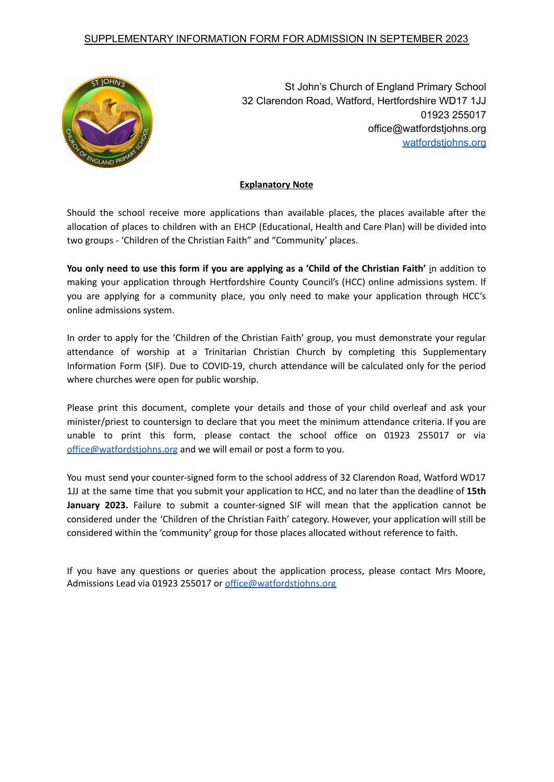## SUPPLEMENTARY INFORMATION FORM FOR ADMISSION IN SEPTEMBER 2023



St John's Church of England Primary School 32 Clarendon Road, Watford, Hertfordshire WD17 1JJ 01923 255017 office@watfordstjohns.org [watfordstjohns.org](http://watfordstjohns.org)

## **Explanatory Note**

Should the school receive more applications than available places, the places available after the allocation of places to children with an EHCP (Educational, Health and Care Plan) will be divided into two groups - 'Children of the Christian Faith" and "Community' places.

You only need to use this form if you are applying as a 'Child of the Christian Faith' in addition to making your application through Hertfordshire County Council's (HCC) online admissions system. If you are applying for a community place, you only need to make your application through HCC's online admissions system.

In order to apply for the 'Children of the Christian Faith' group, you must demonstrate your regular attendance of worship at a Trinitarian Christian Church by completing this Supplementary Information Form (SIF). Due to COVID-19, church attendance will be calculated only for the period where churches were open for public worship.

Please print this document, complete your details and those of your child overleaf and ask your minister/priest to countersign to declare that you meet the minimum attendance criteria. If you are unable to print this form, please contact the school office on 01923 255017 or via office@watfordstiohns.org and we will email or post a form to you.

You must send your counter-signed form to the school address of 32 Clarendon Road, Watford WD17 1JJ at the same time that you submit your application to HCC, and no later than the deadline of **15th January 2023.** Failure to submit a counter-signed SIF will mean that the application cannot be considered under the 'Children of the Christian Faith' category. However, your application will still be considered within the 'community' group for those places allocated without reference to faith.

If you have any questions or queries about the application process, please contact Mrs Moore, Admissions Lead via 01923 255017 or office@watfordstiohns.org